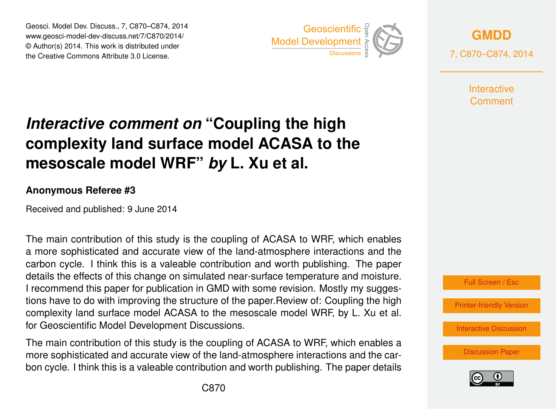Geosci. Model Dev. Discuss., 7, C870–C874, 2014 www.geosci-model-dev-discuss.net/7/C870/2014/ © Author(s) 2014. This work is distributed under Geosci. Model Dev. Discuss., 7, C870–C874, 2014<br>
www.geosci-model-dev-discuss.net/7/C870/2014/<br>
© Author(s) 2014. This work is distributed under<br>
the Creative Commons Attribute 3.0 License.



**[GMDD](http://www.geosci-model-dev-discuss.net)**

7, C870–C874, 2014

**Interactive** Comment

## *Interactive comment on* **"Coupling the high complexity land surface model ACASA to the mesoscale model WRF"** *by* **L. Xu et al.**

## **Anonymous Referee #3**

Received and published: 9 June 2014

The main contribution of this study is the coupling of ACASA to WRF, which enables a more sophisticated and accurate view of the land-atmosphere interactions and the carbon cycle. I think this is a valeable contribution and worth publishing. The paper details the effects of this change on simulated near-surface temperature and moisture. I recommend this paper for publication in GMD with some revision. Mostly my suggestions have to do with improving the structure of the paper.Review of: Coupling the high complexity land surface model ACASA to the mesoscale model WRF, by L. Xu et al. for Geoscientific Model Development Discussions.

The main contribution of this study is the coupling of ACASA to WRF, which enables a more sophisticated and accurate view of the land-atmosphere interactions and the carbon cycle. I think this is a valeable contribution and worth publishing. The paper details



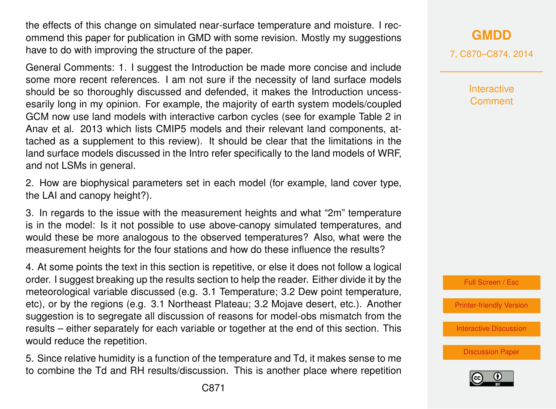the effects of this change on simulated near-surface temperature and moisture. I recommend this paper for publication in GMD with some revision. Mostly my suggestions have to do with improving the structure of the paper.

General Comments: 1. I suggest the Introduction be made more concise and include some more recent references. I am not sure if the necessity of land surface models should be so thoroughly discussed and defended, it makes the Introduction uncessesarily long in my opinion. For example, the majority of earth system models/coupled GCM now use land models with interactive carbon cycles (see for example Table 2 in Anav et al. 2013 which lists CMIP5 models and their relevant land components, attached as a supplement to this review). It should be clear that the limitations in the land surface models discussed in the Intro refer specifically to the land models of WRF, and not LSMs in general.

2. How are biophysical parameters set in each model (for example, land cover type, the LAI and canopy height?).

3. In regards to the issue with the measurement heights and what "2m" temperature is in the model: Is it not possible to use above-canopy simulated temperatures, and would these be more analogous to the observed temperatures? Also, what were the measurement heights for the four stations and how do these influence the results?

4. At some points the text in this section is repetitive, or else it does not follow a logical order. I suggest breaking up the results section to help the reader. Either divide it by the meteorological variable discussed (e.g. 3.1 Temperature; 3.2 Dew point temperature, etc), or by the regions (e.g. 3.1 Northeast Plateau; 3.2 Mojave desert, etc.). Another suggestion is to segregate all discussion of reasons for model-obs mismatch from the results – either separately for each variable or together at the end of this section. This would reduce the repetition.

5. Since relative humidity is a function of the temperature and Td, it makes sense to me to combine the Td and RH results/discussion. This is another place where repetition 7, C870–C874, 2014

**Interactive Comment** 



[Printer-friendly Version](http://www.geosci-model-dev-discuss.net/7/C870/2014/gmdd-7-C870-2014-print.pdf)

[Interactive Discussion](http://www.geosci-model-dev-discuss.net/7/2829/2014/gmdd-7-2829-2014-discussion.html)

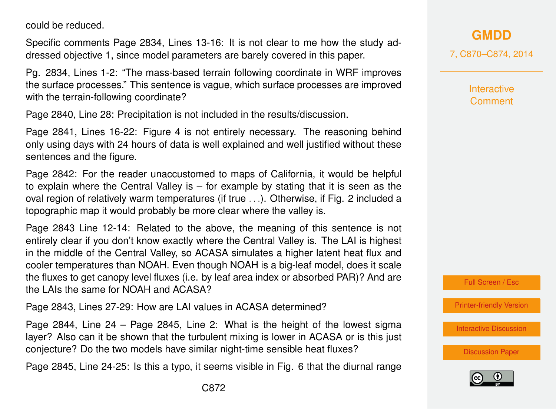could be reduced.

Specific comments Page 2834, Lines 13-16: It is not clear to me how the study addressed objective 1, since model parameters are barely covered in this paper.

Pg. 2834, Lines 1-2: "The mass-based terrain following coordinate in WRF improves the surface processes." This sentence is vague, which surface processes are improved with the terrain-following coordinate?

Page 2840, Line 28: Precipitation is not included in the results/discussion.

Page 2841, Lines 16-22: Figure 4 is not entirely necessary. The reasoning behind only using days with 24 hours of data is well explained and well justified without these sentences and the figure.

Page 2842: For the reader unaccustomed to maps of California, it would be helpful to explain where the Central Valley is – for example by stating that it is seen as the oval region of relatively warm temperatures (if true . . .). Otherwise, if Fig. 2 included a topographic map it would probably be more clear where the valley is.

Page 2843 Line 12-14: Related to the above, the meaning of this sentence is not entirely clear if you don't know exactly where the Central Valley is. The LAI is highest in the middle of the Central Valley, so ACASA simulates a higher latent heat flux and cooler temperatures than NOAH. Even though NOAH is a big-leaf model, does it scale the fluxes to get canopy level fluxes (i.e. by leaf area index or absorbed PAR)? And are the LAIs the same for NOAH and ACASA?

Page 2843, Lines 27-29: How are LAI values in ACASA determined?

Page 2844, Line  $24 -$  Page 2845, Line 2: What is the height of the lowest sigma layer? Also can it be shown that the turbulent mixing is lower in ACASA or is this just conjecture? Do the two models have similar night-time sensible heat fluxes?

Page 2845, Line 24-25: Is this a typo, it seems visible in Fig. 6 that the diurnal range

7, C870–C874, 2014

**Interactive Comment** 

Full Screen / Esc

[Printer-friendly Version](http://www.geosci-model-dev-discuss.net/7/C870/2014/gmdd-7-C870-2014-print.pdf)

[Interactive Discussion](http://www.geosci-model-dev-discuss.net/7/2829/2014/gmdd-7-2829-2014-discussion.html)

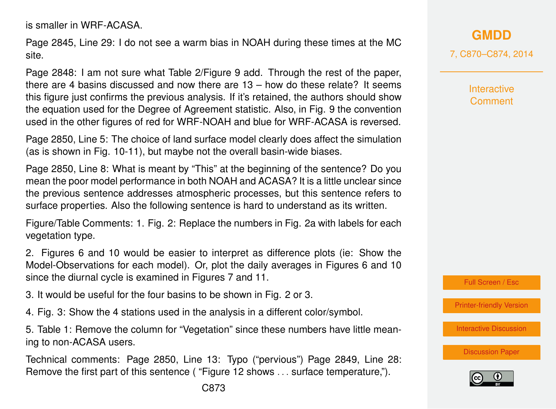is smaller in WRF-ACASA.

Page 2845, Line 29: I do not see a warm bias in NOAH during these times at the MC site.

Page 2848: I am not sure what Table 2/Figure 9 add. Through the rest of the paper, there are 4 basins discussed and now there are 13 – how do these relate? It seems this figure just confirms the previous analysis. If it's retained, the authors should show the equation used for the Degree of Agreement statistic. Also, in Fig. 9 the convention used in the other figures of red for WRF-NOAH and blue for WRF-ACASA is reversed.

Page 2850, Line 5: The choice of land surface model clearly does affect the simulation (as is shown in Fig. 10-11), but maybe not the overall basin-wide biases.

Page 2850, Line 8: What is meant by "This" at the beginning of the sentence? Do you mean the poor model performance in both NOAH and ACASA? It is a little unclear since the previous sentence addresses atmospheric processes, but this sentence refers to surface properties. Also the following sentence is hard to understand as its written.

Figure/Table Comments: 1. Fig. 2: Replace the numbers in Fig. 2a with labels for each vegetation type.

2. Figures 6 and 10 would be easier to interpret as difference plots (ie: Show the Model-Observations for each model). Or, plot the daily averages in Figures 6 and 10 since the diurnal cycle is examined in Figures 7 and 11.

3. It would be useful for the four basins to be shown in Fig. 2 or 3.

4. Fig. 3: Show the 4 stations used in the analysis in a different color/symbol.

5. Table 1: Remove the column for "Vegetation" since these numbers have little meaning to non-ACASA users.

Technical comments: Page 2850, Line 13: Typo ("pervious") Page 2849, Line 28: Remove the first part of this sentence ( "Figure 12 shows . . . surface temperature,").

**[GMDD](http://www.geosci-model-dev-discuss.net)**

7, C870–C874, 2014

**Interactive Comment** 

Full Screen / Esc

[Printer-friendly Version](http://www.geosci-model-dev-discuss.net/7/C870/2014/gmdd-7-C870-2014-print.pdf)

[Interactive Discussion](http://www.geosci-model-dev-discuss.net/7/2829/2014/gmdd-7-2829-2014-discussion.html)